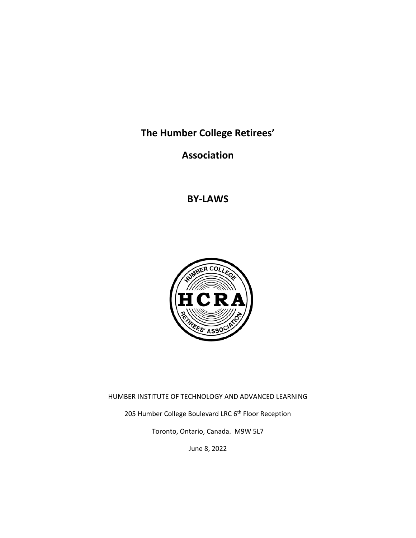**The Humber College Retirees'** 

**Association** 

**BY‐LAWS** 



HUMBER INSTITUTE OF TECHNOLOGY AND ADVANCED LEARNING

205 Humber College Boulevard LRC 6<sup>th</sup> Floor Reception

Toronto, Ontario, Canada. M9W 5L7

June 8, 2022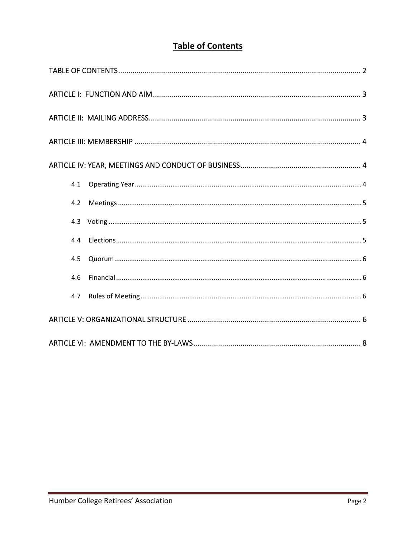# **Table of Contents**

| 4.1 |  |
|-----|--|
| 4.2 |  |
|     |  |
| 4.4 |  |
| 4.5 |  |
| 4.6 |  |
| 4.7 |  |
|     |  |
|     |  |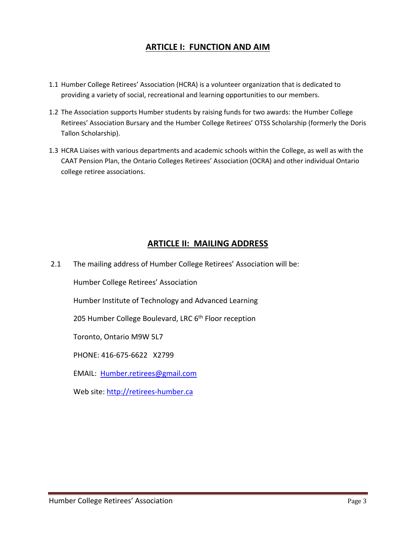### **ARTICLE I: FUNCTION AND AIM**

- 1.1 Humber College Retirees' Association (HCRA) is a volunteer organization that is dedicated to providing a variety of social, recreational and learning opportunities to our members.
- 1.2 The Association supports Humber students by raising funds for two awards: the Humber College Retirees' Association Bursary and the Humber College Retirees' OTSS Scholarship (formerly the Doris Tallon Scholarship).
- 1.3 HCRA Liaises with various departments and academic schools within the College, as well as with the CAAT Pension Plan, the Ontario Colleges Retirees' Association (OCRA) and other individual Ontario college retiree associations.

# **ARTICLE II: MAILING ADDRESS**

2.1 The mailing address of Humber College Retirees' Association will be:

Humber College Retirees' Association

Humber Institute of Technology and Advanced Learning

205 Humber College Boulevard, LRC 6<sup>th</sup> Floor reception

Toronto, Ontario M9W 5L7

PHONE: 416‐675‐6622 X2799

EMAIL: Humber.retirees@gmail.com

Web site: http://retirees-humber.ca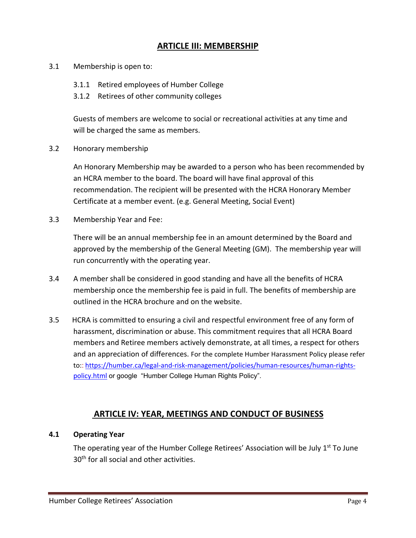### **ARTICLE III: MEMBERSHIP**

- 3.1 Membership is open to:
	- 3.1.1 Retired employees of Humber College
	- 3.1.2 Retirees of other community colleges

 Guests of members are welcome to social or recreational activities at any time and will be charged the same as members.

3.2 Honorary membership

 An Honorary Membership may be awarded to a person who has been recommended by an HCRA member to the board. The board will have final approval of this recommendation. The recipient will be presented with the HCRA Honorary Member Certificate at a member event. (e.g. General Meeting, Social Event)

3.3 Membership Year and Fee:

There will be an annual membership fee in an amount determined by the Board and approved by the membership of the General Meeting (GM). The membership year will run concurrently with the operating year.

- 3.4 A member shall be considered in good standing and have all the benefits of HCRA membership once the membership fee is paid in full. The benefits of membership are outlined in the HCRA brochure and on the website.
- 3.5 HCRA is committed to ensuring a civil and respectful environment free of any form of harassment, discrimination or abuse. This commitment requires that all HCRA Board members and Retiree members actively demonstrate, at all times, a respect for others and an appreciation of differences. For the complete Humber Harassment Policy please refer to:: https://humber.ca/legal‐and‐risk‐management/policies/human‐resources/human‐rights‐ policy.html or google "Humber College Human Rights Policy".

### **ARTICLE IV: YEAR, MEETINGS AND CONDUCT OF BUSINESS**

#### **4.1 Operating Year**

The operating year of the Humber College Retirees' Association will be July 1<sup>st</sup> To June 30<sup>th</sup> for all social and other activities.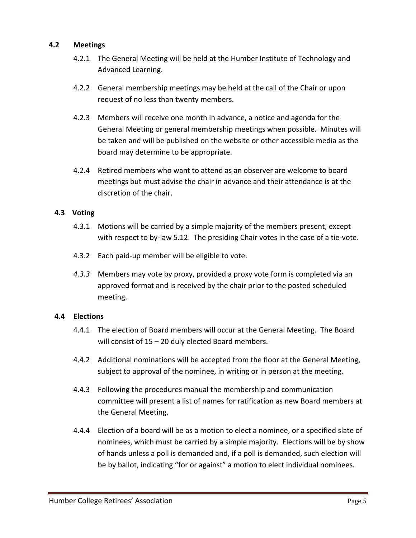#### **4.2 Meetings**

- 4.2.1 The General Meeting will be held at the Humber Institute of Technology and Advanced Learning.
- 4.2.2 General membership meetings may be held at the call of the Chair or upon request of no less than twenty members.
- 4.2.3 Members will receive one month in advance, a notice and agenda for the General Meeting or general membership meetings when possible. Minutes will be taken and will be published on the website or other accessible media as the board may determine to be appropriate.
- 4.2.4 Retired members who want to attend as an observer are welcome to board meetings but must advise the chair in advance and their attendance is at the discretion of the chair.

#### **4.3 Voting**

- 4.3.1 Motions will be carried by a simple majority of the members present, except with respect to by‐law 5.12.The presiding Chair votes in the case of a tie‐vote.
- 4.3.2 Each paid‐up member will be eligible to vote.
- *4.3.3*  Members may vote by proxy, provided a proxy vote form is completed via an approved format and is received by the chair prior to the posted scheduled meeting.

#### **4.4 Elections**

- 4.4.1 The election of Board members will occur at the General Meeting. The Board will consist of 15 – 20 duly elected Board members.
- 4.4.2 Additional nominations will be accepted from the floor at the General Meeting, subject to approval of the nominee, in writing or in person at the meeting.
- 4.4.3 Following the procedures manual the membership and communication committee will present a list of names for ratification as new Board members at the General Meeting.
- 4.4.4 Election of a board will be as a motion to elect a nominee, or a specified slate of nominees, which must be carried by a simple majority.Elections will be by show of hands unless a poll is demanded and, if a poll is demanded, such election will be by ballot, indicating "for or against" a motion to elect individual nominees.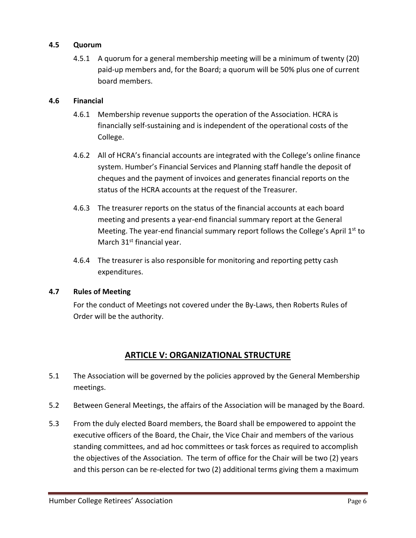#### **4.5 Quorum**

4.5.1 A quorum for a general membership meeting will be a minimum of twenty (20) paid‐up members and, for the Board; a quorum will be 50% plus one of current board members.

#### **4.6 Financial**

- 4.6.1 Membership revenue supports the operation of the Association. HCRA is financially self‐sustaining and is independent of the operational costs of the College.
- 4.6.2 All of HCRA's financial accounts are integrated with the College's online finance system. Humber's Financial Services and Planning staff handle the deposit of cheques and the payment of invoices and generates financial reports on the status of the HCRA accounts at the request of the Treasurer.
- 4.6.3 The treasurer reports on the status of the financial accounts at each board meeting and presents a year‐end financial summary report at the General Meeting. The year-end financial summary report follows the College's April 1<sup>st</sup> to March 31<sup>st</sup> financial year.
- 4.6.4 The treasurer is also responsible for monitoring and reporting petty cash expenditures.

#### **4.7 Rules of Meeting**

For the conduct of Meetings not covered under the By‐Laws, then Roberts Rules of Order will be the authority.

# **ARTICLE V: ORGANIZATIONAL STRUCTURE**

- 5.1 The Association will be governed by the policies approved by the General Membership meetings.
- 5.2 Between General Meetings, the affairs of the Association will be managed by the Board.
- 5.3 From the duly elected Board members, the Board shall be empowered to appoint the executive officers of the Board, the Chair, the Vice Chair and members of the various standing committees, and ad hoc committees or task forces as required to accomplish the objectives of the Association. The term of office for the Chair will be two (2) years and this person can be re‐elected for two (2) additional terms giving them a maximum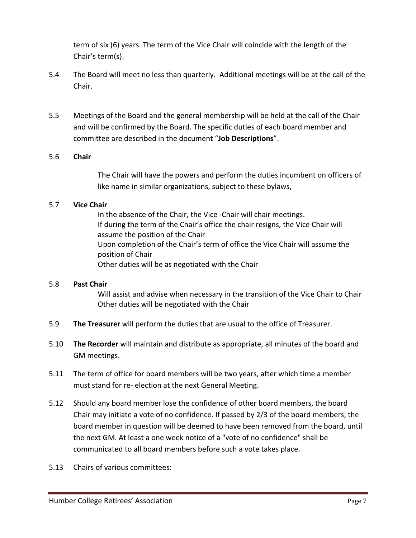term of six (6) years. The term of the Vice Chair will coincide with the length of the Chair's term(s).

- 5.4 The Board will meet no less than quarterly. Additional meetings will be at the call of the Chair.
- 5.5 Meetings of the Board and the general membership will be held at the call of the Chair and will be confirmed by the Board. The specific duties of each board member and committee are described in the document "**Job Descriptions**".

#### 5.6 **Chair**

 The Chair will have the powers and perform the duties incumbent on officers of like name in similar organizations, subject to these bylaws,

#### 5.7 **Vice Chair**

 In the absence of the Chair, the Vice ‐Chair will chair meetings. If during the term of the Chair's office the chair resigns, the Vice Chair will assume the position of the Chair Upon completion of the Chair's term of office the Vice Chair will assume the position of Chair Other duties will be as negotiated with the Chair

#### 5.8 **Past Chair**

 Will assist and advise when necessary in the transition of the Vice Chair to Chair Other duties will be negotiated with the Chair

- 5.9 **The Treasurer** will perform the duties that are usual to the office of Treasurer.
- 5.10 **The Recorder** will maintain and distribute as appropriate, all minutes of the board and GM meetings.
- 5.11 The term of office for board members will be two years, after which time a member must stand for re‐ election at the next General Meeting.
- 5.12 Should any board member lose the confidence of other board members, the board Chair may initiate a vote of no confidence. If passed by 2/3 of the board members, the board member in question will be deemed to have been removed from the board, until the next GM. At least a one week notice of a "vote of no confidence" shall be communicated to all board members before such a vote takes place.
- 5.13 Chairs of various committees: